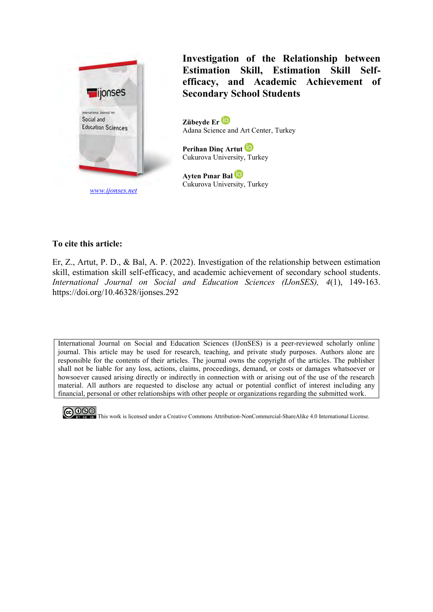

**Investigation of the Relationship between Estimation Skill, Estimation Skill Selfefficacy, and Academic Achievement of Secondary School Students**

**Zübeyde Er** Adana Science and Art Center, Turkey

**Perihan Dinç Artut** Cukurova University, Turkey

**Ayten Pınar Bal** Cukurova University, Turkey

# **To cite this article:**

Er, Z., Artut, P. D., & Bal, A. P. (2022). Investigation of the relationship between estimation skill, estimation skill self-efficacy, and academic achievement of secondary school students. *International Journal on Social and Education Sciences (IJonSES), 4*(1), 149-163. https://doi.org/10.46328/ijonses.292

International Journal on Social and Education Sciences (IJonSES) is a peer-reviewed scholarly online journal. This article may be used for research, teaching, and private study purposes. Authors alone are responsible for the contents of their articles. The journal owns the copyright of the articles. The publisher shall not be liable for any loss, actions, claims, proceedings, demand, or costs or damages whatsoever or howsoever caused arising directly or indirectly in connection with or arising out of the use of the research material. All authors are requested to disclose any actual or potential conflict of interest including any financial, personal or other relationships with other people or organizations regarding the submitted work.



CO OSO This work is licensed under a Creative Commons Attribution-NonCommercial-ShareAlike 4.0 International License.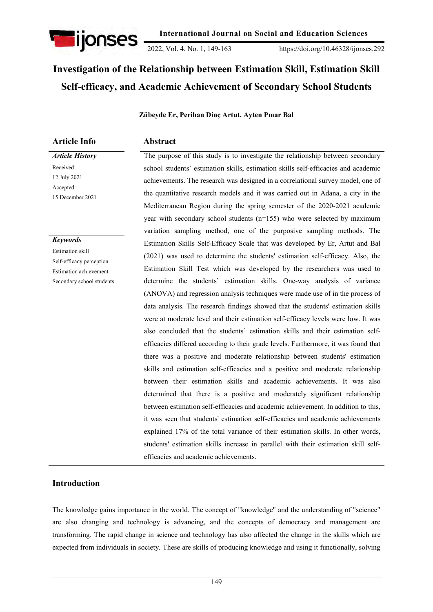

2022, Vol. 4, No. 1, 149-163 https://doi.org/10.46328/ijonses.292

# **Investigation of the Relationship between Estimation Skill, Estimation Skill Self-efficacy, and Academic Achievement of Secondary School Students**

**Zübeyde Er, Perihan Dinç Artut, Ayten Pınar Bal**

| <b>Article Info</b>                                | Abstract                                                                            |
|----------------------------------------------------|-------------------------------------------------------------------------------------|
| <b>Article History</b>                             | The purpose of this study is to investigate the relationship between secondary      |
| Received:                                          | school students' estimation skills, estimation skills self-efficacies and academic  |
| 12 July 2021                                       | achievements. The research was designed in a correlational survey model, one of     |
| Accepted:<br>15 December 2021                      | the quantitative research models and it was carried out in Adana, a city in the     |
|                                                    | Mediterranean Region during the spring semester of the 2020-2021 academic           |
|                                                    | year with secondary school students $(n=155)$ who were selected by maximum          |
|                                                    | variation sampling method, one of the purposive sampling methods. The               |
| <b>Keywords</b>                                    | Estimation Skills Self-Efficacy Scale that was developed by Er, Artut and Bal       |
| Estimation skill                                   | (2021) was used to determine the students' estimation self-efficacy. Also, the      |
| Self-efficacy perception<br>Estimation achievement | Estimation Skill Test which was developed by the researchers was used to            |
| Secondary school students                          | determine the students' estimation skills. One-way analysis of variance             |
|                                                    | (ANOVA) and regression analysis techniques were made use of in the process of       |
|                                                    | data analysis. The research findings showed that the students' estimation skills    |
|                                                    | were at moderate level and their estimation self-efficacy levels were low. It was   |
|                                                    |                                                                                     |
|                                                    | also concluded that the students' estimation skills and their estimation self-      |
|                                                    | efficacies differed according to their grade levels. Furthermore, it was found that |
|                                                    | there was a positive and moderate relationship between students' estimation         |
|                                                    | skills and estimation self-efficacies and a positive and moderate relationship      |
|                                                    | between their estimation skills and academic achievements. It was also              |
|                                                    | determined that there is a positive and moderately significant relationship         |
|                                                    | between estimation self-efficacies and academic achievement. In addition to this,   |
|                                                    | it was seen that students' estimation self-efficacies and academic achievements     |
|                                                    | explained 17% of the total variance of their estimation skills. In other words,     |
|                                                    | students' estimation skills increase in parallel with their estimation skill self-  |
|                                                    | efficacies and academic achievements.                                               |
|                                                    |                                                                                     |

# **Introduction**

The knowledge gains importance in the world. The concept of "knowledge" and the understanding of "science" are also changing and technology is advancing, and the concepts of democracy and management are transforming. The rapid change in science and technology has also affected the change in the skills which are expected from individuals in society. These are skills of producing knowledge and using it functionally, solving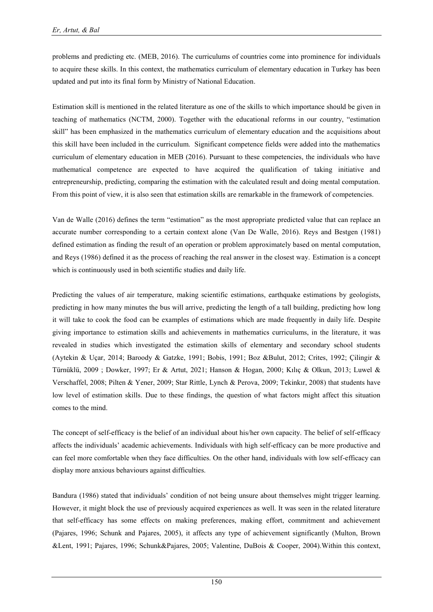problems and predicting etc. (MEB, 2016). The curriculums of countries come into prominence for individuals to acquire these skills. In this context, the mathematics curriculum of elementary education in Turkey has been updated and put into its final form by Ministry of National Education.

Estimation skill is mentioned in the related literature as one of the skills to which importance should be given in teaching of mathematics (NCTM, 2000). Together with the educational reforms in our country, "estimation skill" has been emphasized in the mathematics curriculum of elementary education and the acquisitions about this skill have been included in the curriculum. Significant competence fields were added into the mathematics curriculum of elementary education in MEB (2016). Pursuant to these competencies, the individuals who have mathematical competence are expected to have acquired the qualification of taking initiative and entrepreneurship, predicting, comparing the estimation with the calculated result and doing mental computation. From this point of view, it is also seen that estimation skills are remarkable in the framework of competencies.

Van de Walle (2016) defines the term "estimation" as the most appropriate predicted value that can replace an accurate number corresponding to a certain context alone (Van De Walle, 2016). Reys and Bestgen (1981) defined estimation as finding the result of an operation or problem approximately based on mental computation, and Reys (1986) defined it as the process of reaching the real answer in the closest way. Estimation is a concept which is continuously used in both scientific studies and daily life.

Predicting the values of air temperature, making scientific estimations, earthquake estimations by geologists, predicting in how many minutes the bus will arrive, predicting the length of a tall building, predicting how long it will take to cook the food can be examples of estimations which are made frequently in daily life. Despite giving importance to estimation skills and achievements in mathematics curriculums, in the literature, it was revealed in studies which investigated the estimation skills of elementary and secondary school students (Aytekin & Uçar, 2014; Baroody & Gatzke, 1991; Bobis, 1991; Boz &Bulut, 2012; Crites, 1992; Çilingir & Türnüklü, 2009 ; Dowker, 1997; Er & Artut, 2021; Hanson & Hogan, 2000; Kılıç & Olkun, 2013; Luwel & Verschaffel, 2008; Pilten & Yener, 2009; Star Rittle, Lynch & Perova, 2009; Tekinkır, 2008) that students have low level of estimation skills. Due to these findings, the question of what factors might affect this situation comes to the mind.

The concept of self-efficacy is the belief of an individual about his/her own capacity. The belief of self-efficacy affects the individuals" academic achievements. Individuals with high self-efficacy can be more productive and can feel more comfortable when they face difficulties. On the other hand, individuals with low self-efficacy can display more anxious behaviours against difficulties.

Bandura (1986) stated that individuals" condition of not being unsure about themselves might trigger learning. However, it might block the use of previously acquired experiences as well. It was seen in the related literature that self-efficacy has some effects on making preferences, making effort, commitment and achievement (Pajares, 1996; Schunk and Pajares, 2005), it affects any type of achievement significantly (Multon, Brown &Lent, 1991; Pajares, 1996; Schunk&Pajares, 2005; Valentine, DuBois & Cooper, 2004).Within this context,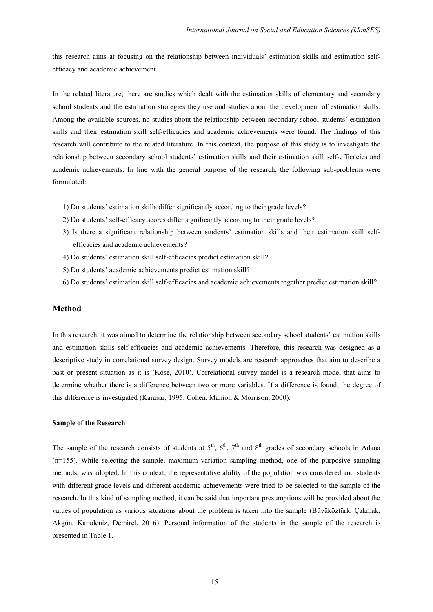this research aims at focusing on the relationship between individuals" estimation skills and estimation selfefficacy and academic achievement.

In the related literature, there are studies which dealt with the estimation skills of elementary and secondary school students and the estimation strategies they use and studies about the development of estimation skills. Among the available sources, no studies about the relationship between secondary school students" estimation skills and their estimation skill self-efficacies and academic achievements were found. The findings of this research will contribute to the related literature. In this context, the purpose of this study is to investigate the relationship between secondary school students" estimation skills and their estimation skill self-efficacies and academic achievements. In line with the general purpose of the research, the following sub-problems were formulated:

- 1) Do students" estimation skills differ significantly according to their grade levels?
- 2) Do students" self-efficacy scores differ significantly according to their grade levels?
- 3) Is there a significant relationship between students" estimation skills and their estimation skill selfefficacies and academic achievements?
- 4) Do students" estimation skill self-efficacies predict estimation skill?
- 5) Do students" academic achievements predict estimation skill?
- 6) Do students" estimation skill self-efficacies and academic achievements together predict estimation skill?

# **Method**

In this research, it was aimed to determine the relationship between secondary school students" estimation skills and estimation skills self-efficacies and academic achievements. Therefore, this research was designed as a descriptive study in correlational survey design. Survey models are research approaches that aim to describe a past or present situation as it is (Köse, 2010). Correlational survey model is a research model that aims to determine whether there is a difference between two or more variables. If a difference is found, the degree of this difference is investigated (Karasar, 1995; Cohen, Manion & Morrison, 2000).

## **Sample of the Research**

The sample of the research consists of students at  $5<sup>th</sup>$ ,  $6<sup>th</sup>$ ,  $7<sup>th</sup>$  and  $8<sup>th</sup>$  grades of secondary schools in Adana (n=155). While selecting the sample, maximum variation sampling method, one of the purposive sampling methods, was adopted. In this context, the representative ability of the population was considered and students with different grade levels and different academic achievements were tried to be selected to the sample of the research. In this kind of sampling method, it can be said that important presumptions will be provided about the values of population as various situations about the problem is taken into the sample (Büyüköztürk, Çakmak, Akgün, Karadeniz, Demirel, 2016). Personal information of the students in the sample of the research is presented in Table 1.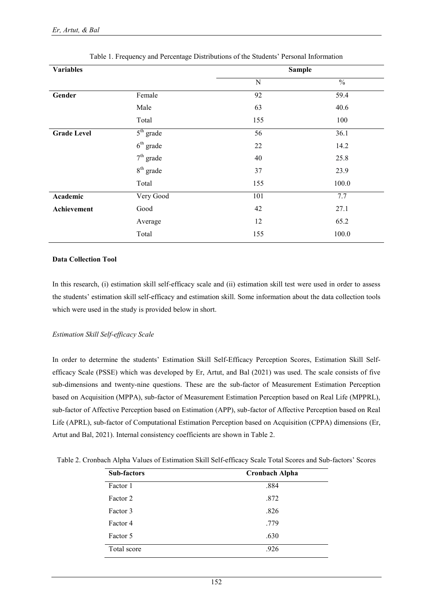| <b>Variables</b>   |             |     | <b>Sample</b> |
|--------------------|-------------|-----|---------------|
|                    |             | N   | $\frac{0}{0}$ |
| Gender             | Female      | 92  | 59.4          |
|                    | Male        | 63  | 40.6          |
|                    | Total       | 155 | 100           |
| <b>Grade Level</b> | $5th$ grade | 56  | 36.1          |
|                    | $6th$ grade | 22  | 14.2          |
|                    | $7th$ grade | 40  | 25.8          |
|                    | $8th$ grade | 37  | 23.9          |
|                    | Total       | 155 | 100.0         |
| Academic           | Very Good   | 101 | 7.7           |
| Achievement        | Good        | 42  | 27.1          |
|                    | Average     | 12  | 65.2          |
|                    | Total       | 155 | 100.0         |

| Table 1. Frequency and Percentage Distributions of the Students' Personal Information |  |
|---------------------------------------------------------------------------------------|--|
|---------------------------------------------------------------------------------------|--|

#### **Data Collection Tool**

In this research, (i) estimation skill self-efficacy scale and (ii) estimation skill test were used in order to assess the students" estimation skill self-efficacy and estimation skill. Some information about the data collection tools which were used in the study is provided below in short.

## *Estimation Skill Self-efficacy Scale*

In order to determine the students' Estimation Skill Self-Efficacy Perception Scores, Estimation Skill Selfefficacy Scale (PSSE) which was developed by Er, Artut, and Bal (2021) was used. The scale consists of five sub-dimensions and twenty-nine questions. These are the sub-factor of Measurement Estimation Perception based on Acquisition (MPPA), sub-factor of Measurement Estimation Perception based on Real Life (MPPRL), sub-factor of Affective Perception based on Estimation (APP), sub-factor of Affective Perception based on Real Life (APRL), sub-factor of Computational Estimation Perception based on Acquisition (CPPA) dimensions (Er, Artut and Bal, 2021). Internal consistency coefficients are shown in Table 2.

|  |  |  | Table 2. Cronbach Alpha Values of Estimation Skill Self-efficacy Scale Total Scores and Sub-factors' Scores |  |
|--|--|--|-------------------------------------------------------------------------------------------------------------|--|
|--|--|--|-------------------------------------------------------------------------------------------------------------|--|

| Sub-factors | <b>Cronbach Alpha</b> |
|-------------|-----------------------|
| Factor 1    | .884                  |
| Factor 2    | .872                  |
| Factor 3    | .826                  |
| Factor 4    | .779                  |
| Factor 5    | .630                  |
| Total score | .926                  |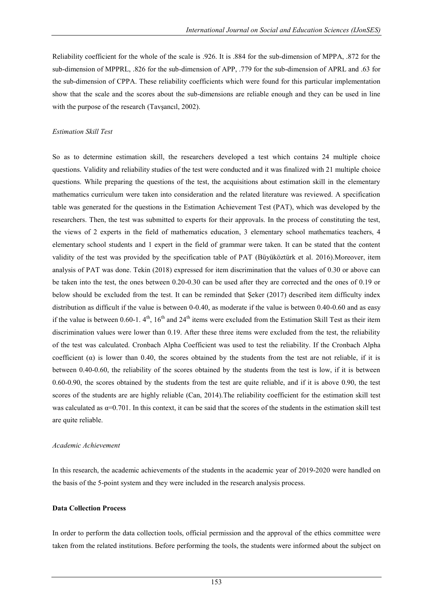Reliability coefficient for the whole of the scale is .926. It is .884 for the sub-dimension of MPPA, .872 for the sub-dimension of MPPRL, .826 for the sub-dimension of APP, .779 for the sub-dimension of APRL and .63 for the sub-dimension of CPPA. These reliability coefficients which were found for this particular implementation show that the scale and the scores about the sub-dimensions are reliable enough and they can be used in line with the purpose of the research (Tavşancıl, 2002).

#### *Estimation Skill Test*

So as to determine estimation skill, the researchers developed a test which contains 24 multiple choice questions. Validity and reliability studies of the test were conducted and it was finalized with 21 multiple choice questions. While preparing the questions of the test, the acquisitions about estimation skill in the elementary mathematics curriculum were taken into consideration and the related literature was reviewed. A specification table was generated for the questions in the Estimation Achievement Test (PAT), which was developed by the researchers. Then, the test was submitted to experts for their approvals. In the process of constituting the test, the views of 2 experts in the field of mathematics education, 3 elementary school mathematics teachers, 4 elementary school students and 1 expert in the field of grammar were taken. It can be stated that the content validity of the test was provided by the specification table of PAT (Büyüköztürk et al. 2016).Moreover, item analysis of PAT was done. Tekin (2018) expressed for item discrimination that the values of 0.30 or above can be taken into the test, the ones between 0.20-0.30 can be used after they are corrected and the ones of 0.19 or below should be excluded from the test. It can be reminded that Şeker (2017) described item difficulty index distribution as difficult if the value is between 0-0.40, as moderate if the value is between 0.40-0.60 and as easy if the value is between  $0.60-1$ .  $4<sup>th</sup>$ ,  $16<sup>th</sup>$  and  $24<sup>th</sup>$  items were excluded from the Estimation Skill Test as their item discrimination values were lower than 0.19. After these three items were excluded from the test, the reliability of the test was calculated. Cronbach Alpha Coefficient was used to test the reliability. If the Cronbach Alpha coefficient  $(\alpha)$  is lower than 0.40, the scores obtained by the students from the test are not reliable, if it is between 0.40-0.60, the reliability of the scores obtained by the students from the test is low, if it is between 0.60-0.90, the scores obtained by the students from the test are quite reliable, and if it is above 0.90, the test scores of the students are are highly reliable (Can, 2014).The reliability coefficient for the estimation skill test was calculated as  $\alpha=0.701$ . In this context, it can be said that the scores of the students in the estimation skill test are quite reliable.

#### *Academic Achievement*

In this research, the academic achievements of the students in the academic year of 2019-2020 were handled on the basis of the 5-point system and they were included in the research analysis process.

#### **Data Collection Process**

In order to perform the data collection tools, official permission and the approval of the ethics committee were taken from the related institutions. Before performing the tools, the students were informed about the subject on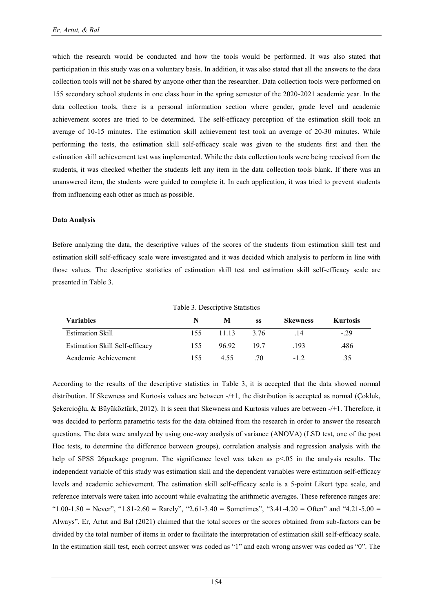which the research would be conducted and how the tools would be performed. It was also stated that participation in this study was on a voluntary basis. In addition, it was also stated that all the answers to the data collection tools will not be shared by anyone other than the researcher. Data collection tools were performed on 155 secondary school students in one class hour in the spring semester of the 2020-2021 academic year. In the data collection tools, there is a personal information section where gender, grade level and academic achievement scores are tried to be determined. The self-efficacy perception of the estimation skill took an average of 10-15 minutes. The estimation skill achievement test took an average of 20-30 minutes. While performing the tests, the estimation skill self-efficacy scale was given to the students first and then the estimation skill achievement test was implemented. While the data collection tools were being received from the students, it was checked whether the students left any item in the data collection tools blank. If there was an unanswered item, the students were guided to complete it. In each application, it was tried to prevent students from influencing each other as much as possible.

#### **Data Analysis**

Before analyzing the data, the descriptive values of the scores of the students from estimation skill test and estimation skill self-efficacy scale were investigated and it was decided which analysis to perform in line with those values. The descriptive statistics of estimation skill test and estimation skill self-efficacy scale are presented in Table 3.

| raore 5. Descriptive blatfolies |     |       |      |                 |                 |  |  |  |  |
|---------------------------------|-----|-------|------|-----------------|-----------------|--|--|--|--|
| <b>Variables</b>                | N   | М     | SS   | <b>Skewness</b> | <b>Kurtosis</b> |  |  |  |  |
| <b>Estimation Skill</b>         | 155 | 11 13 | 3.76 | .14             | $-29$           |  |  |  |  |
| Estimation Skill Self-efficacy  | 155 | 96.92 | 197  | .193            | .486            |  |  |  |  |
| Academic Achievement            | 155 | 4.55  | 70   | $-12$           | .35             |  |  |  |  |

Table 3. Descriptive Statistics

According to the results of the descriptive statistics in Table 3, it is accepted that the data showed normal distribution. If Skewness and Kurtosis values are between -/+1, the distribution is accepted as normal (Çokluk, Şekercioğlu, & Büyüköztürk, 2012). It is seen that Skewness and Kurtosis values are between -/+1. Therefore, it was decided to perform parametric tests for the data obtained from the research in order to answer the research questions. The data were analyzed by using one-way analysis of variance (ANOVA) (LSD test, one of the post Hoc tests, to determine the difference between groups), correlation analysis and regression analysis with the help of SPSS 26package program. The significance level was taken as  $p<0.05$  in the analysis results. The independent variable of this study was estimation skill and the dependent variables were estimation self-efficacy levels and academic achievement. The estimation skill self-efficacy scale is a 5-point Likert type scale, and reference intervals were taken into account while evaluating the arithmetic averages. These reference ranges are:  $"1.00-1.80 =$  Never", "1.81-2.60 = Rarely", "2.61-3.40 = Sometimes", "3.41-4.20 = Often" and "4.21-5.00 = Always". Er, Artut and Bal (2021) claimed that the total scores or the scores obtained from sub-factors can be divided by the total number of items in order to facilitate the interpretation of estimation skill self-efficacy scale. In the estimation skill test, each correct answer was coded as "1" and each wrong answer was coded as "0". The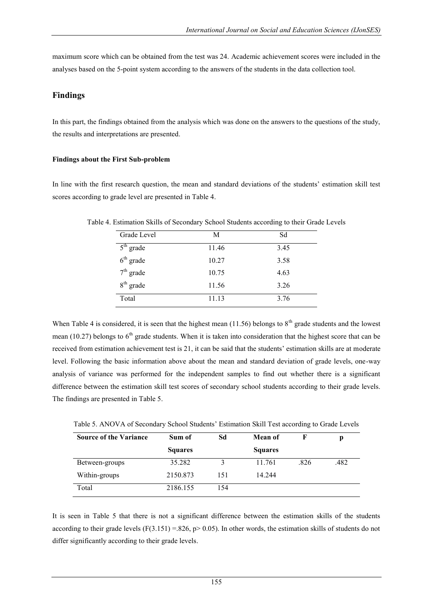maximum score which can be obtained from the test was 24. Academic achievement scores were included in the analyses based on the 5-point system according to the answers of the students in the data collection tool.

# **Findings**

In this part, the findings obtained from the analysis which was done on the answers to the questions of the study, the results and interpretations are presented.

# **Findings about the First Sub-problem**

In line with the first research question, the mean and standard deviations of the students" estimation skill test scores according to grade level are presented in Table 4.

| Grade Level | М     | Sd   |
|-------------|-------|------|
| $5th$ grade | 11.46 | 3.45 |
| $6th$ grade | 10.27 | 3.58 |
| $7th$ grade | 10.75 | 4.63 |
| $8th$ grade | 11.56 | 3.26 |
| Total       | 11.13 | 3.76 |

Table 4. Estimation Skills of Secondary School Students according to their Grade Levels

When Table 4 is considered, it is seen that the highest mean (11.56) belongs to  $8<sup>th</sup>$  grade students and the lowest mean (10.27) belongs to  $6<sup>th</sup>$  grade students. When it is taken into consideration that the highest score that can be received from estimation achievement test is 21, it can be said that the students" estimation skills are at moderate level. Following the basic information above about the mean and standard deviation of grade levels, one-way analysis of variance was performed for the independent samples to find out whether there is a significant difference between the estimation skill test scores of secondary school students according to their grade levels. The findings are presented in Table 5.

| Twore of the construction of the concerning of the condition of the condition of the condition of the condition |                |     |                |      |      |
|-----------------------------------------------------------------------------------------------------------------|----------------|-----|----------------|------|------|
| <b>Source of the Variance</b>                                                                                   | Sum of         | Sd  | <b>Mean of</b> |      | р    |
|                                                                                                                 | <b>Squares</b> |     | <b>Squares</b> |      |      |
| Between-groups                                                                                                  | 35.282         |     | 11.761         | .826 | .482 |
| Within-groups                                                                                                   | 2150.873       | 151 | 14.244         |      |      |
| Total                                                                                                           | 2186.155       | 154 |                |      |      |

Table 5. ANOVA of Secondary School Students" Estimation Skill Test according to Grade Levels

It is seen in Table 5 that there is not a significant difference between the estimation skills of the students according to their grade levels (F(3.151) =.826, p> 0.05). In other words, the estimation skills of students do not differ significantly according to their grade levels.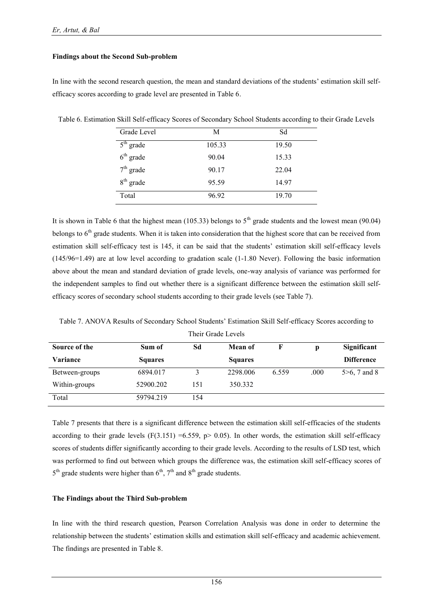#### **Findings about the Second Sub-problem**

In line with the second research question, the mean and standard deviations of the students" estimation skill selfefficacy scores according to grade level are presented in Table 6.

| Grade Level | M      | Sd    |
|-------------|--------|-------|
| $5th$ grade | 105.33 | 19.50 |
| $6th$ grade | 90.04  | 15.33 |
| $7th$ grade | 90.17  | 22.04 |
| $8th$ grade | 95.59  | 14.97 |
| Total       | 96.92  | 19.70 |

Table 6. Estimation Skill Self-efficacy Scores of Secondary School Students according to their Grade Levels

It is shown in Table 6 that the highest mean (105.33) belongs to  $5<sup>th</sup>$  grade students and the lowest mean (90.04) belongs to 6<sup>th</sup> grade students. When it is taken into consideration that the highest score that can be received from estimation skill self-efficacy test is 145, it can be said that the students" estimation skill self-efficacy levels (145/96=1.49) are at low level according to gradation scale (1-1.80 Never). Following the basic information above about the mean and standard deviation of grade levels, one-way analysis of variance was performed for the independent samples to find out whether there is a significant difference between the estimation skill selfefficacy scores of secondary school students according to their grade levels (see Table 7).

Table 7. ANOVA Results of Secondary School Students" Estimation Skill Self-efficacy Scores according to

| Their Grade Levels |                |     |                |       |      |                   |  |
|--------------------|----------------|-----|----------------|-------|------|-------------------|--|
| Source of the      | Sum of         | Sd  | <b>Mean of</b> | F     | p    | Significant       |  |
| Variance           | <b>Squares</b> |     | <b>Squares</b> |       |      | <b>Difference</b> |  |
| Between-groups     | 6894.017       |     | 2298.006       | 6.559 | .000 | $5>6$ , 7 and 8   |  |
| Within-groups      | 52900.202      | 151 | 350.332        |       |      |                   |  |
| Total              | 59794.219      | 154 |                |       |      |                   |  |

Table 7 presents that there is a significant difference between the estimation skill self-efficacies of the students according to their grade levels (F(3.151) =6.559, p> 0.05). In other words, the estimation skill self-efficacy scores of students differ significantly according to their grade levels. According to the results of LSD test, which was performed to find out between which groups the difference was, the estimation skill self-efficacy scores of  $5<sup>th</sup>$  grade students were higher than  $6<sup>th</sup>$ ,  $7<sup>th</sup>$  and  $8<sup>th</sup>$  grade students.

## **The Findings about the Third Sub-problem**

In line with the third research question, Pearson Correlation Analysis was done in order to determine the relationship between the students" estimation skills and estimation skill self-efficacy and academic achievement. The findings are presented in Table 8.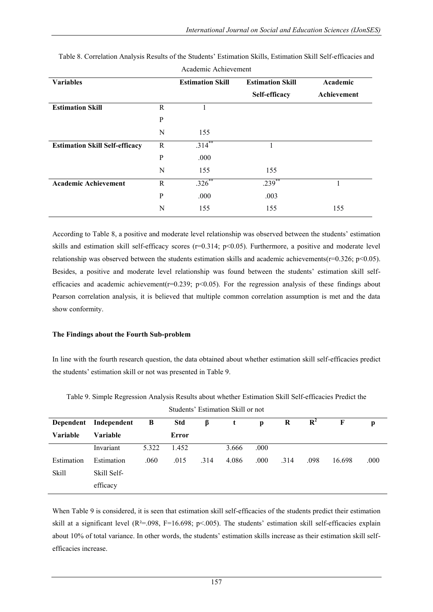| <b>Variables</b>                      |              | <b>Estimation Skill</b> | <b>Estimation Skill</b> | Academic    |
|---------------------------------------|--------------|-------------------------|-------------------------|-------------|
|                                       |              |                         | Self-efficacy           | Achievement |
| <b>Estimation Skill</b>               | $\mathbb{R}$ |                         |                         |             |
|                                       | P            |                         |                         |             |
|                                       | N            | 155                     |                         |             |
| <b>Estimation Skill Self-efficacy</b> | R            | $.314$ **               |                         |             |
|                                       | P            | .000                    |                         |             |
|                                       | N            | 155                     | 155                     |             |
| <b>Academic Achievement</b>           | R            | $.326$ **               | $.239$ **               |             |
|                                       | $\mathbf{P}$ | .000                    | .003                    |             |
|                                       | N            | 155                     | 155                     | 155         |

Table 8. Correlation Analysis Results of the Students" Estimation Skills, Estimation Skill Self-efficacies and

Academic Achievement

According to Table 8, a positive and moderate level relationship was observed between the students" estimation skills and estimation skill self-efficacy scores (r=0.314; p<0.05). Furthermore, a positive and moderate level relationship was observed between the students estimation skills and academic achievements(r=0.326; p<0.05). Besides, a positive and moderate level relationship was found between the students" estimation skill selfefficacies and academic achievement( $r=0.239$ ;  $p<0.05$ ). For the regression analysis of these findings about Pearson correlation analysis, it is believed that multiple common correlation assumption is met and the data show conformity.

# **The Findings about the Fourth Sub-problem**

In line with the fourth research question, the data obtained about whether estimation skill self-efficacies predict the students' estimation skill or not was presented in Table 9.

| Students' Estimation Skill or not |                       |       |            |      |       |      |      |                |        |      |
|-----------------------------------|-----------------------|-------|------------|------|-------|------|------|----------------|--------|------|
|                                   | Dependent Independent | B     | <b>Std</b> | β    | t     | p    | R    | $\mathbb{R}^2$ | F      | p    |
| <b>Variable</b>                   | Variable              |       | Error      |      |       |      |      |                |        |      |
|                                   | Invariant             | 5.322 | 1.452      |      | 3.666 | .000 |      |                |        |      |
| Estimation                        | Estimation            | .060  | .015       | .314 | 4.086 | .000 | .314 | .098           | 16.698 | .000 |
| Skill                             | Skill Self-           |       |            |      |       |      |      |                |        |      |
|                                   | efficacy              |       |            |      |       |      |      |                |        |      |

Table 9. Simple Regression Analysis Results about whether Estimation Skill Self-efficacies Predict the

When Table 9 is considered, it is seen that estimation skill self-efficacies of the students predict their estimation skill at a significant level ( $R^2 = 0.098$ ,  $F = 16.698$ ; p<0.05). The students' estimation skill self-efficacies explain about 10% of total variance. In other words, the students' estimation skills increase as their estimation skill selfefficacies increase.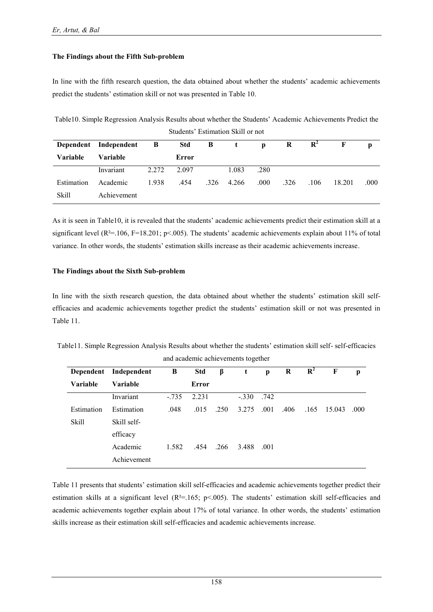## **The Findings about the Fifth Sub-problem**

In line with the fifth research question, the data obtained about whether the students" academic achievements predict the students" estimation skill or not was presented in Table 10.

Table10. Simple Regression Analysis Results about whether the Students" Academic Achievements Predict the Students" Estimation Skill or not

|                 | <u>otaavilo Lotination onin of hot</u> |       |            |              |       |              |      |                |        |      |
|-----------------|----------------------------------------|-------|------------|--------------|-------|--------------|------|----------------|--------|------|
|                 | Dependent Independent B                |       | <b>Std</b> | $\mathbf{B}$ | $-t$  | $\mathbf{p}$ | R    | $\mathbf{R}^2$ | F      | D    |
| <b>Variable</b> | Variable                               |       | Error      |              |       |              |      |                |        |      |
|                 | Invariant                              | 2.272 | 2.097      |              | 1.083 | .280         |      |                |        |      |
| Estimation      | Academic                               | 1.938 | .454       | .326         | 4.266 | .000         | .326 | .106           | 18.201 | .000 |
| Skill           | Achievement                            |       |            |              |       |              |      |                |        |      |

As it is seen in Table10, it is revealed that the students" academic achievements predict their estimation skill at a significant level ( $R^2$ =.106, F=18.201; p<.005). The students' academic achievements explain about 11% of total variance. In other words, the students" estimation skills increase as their academic achievements increase.

#### **The Findings about the Sixth Sub-problem**

In line with the sixth research question, the data obtained about whether the students" estimation skill selfefficacies and academic achievements together predict the students" estimation skill or not was presented in Table 11.

Table11. Simple Regression Analysis Results about whether the students" estimation skill self- self-efficacies and academic achievements together

|                 | Dependent Independent | B        | Std   | $\beta$ | $\mathbf{t}$ | $\mathbf{p}$ | R    | $\mathbb{R}^2$ | $\mathbf{F}$ | p     |
|-----------------|-----------------------|----------|-------|---------|--------------|--------------|------|----------------|--------------|-------|
| <b>Variable</b> | Variable              |          | Error |         |              |              |      |                |              |       |
|                 | Invariant             | $-0.735$ | 2.231 |         | $-.330$      | .742         |      |                |              |       |
| Estimation      | Estimation            | .048     | .015  | .250    | 3.275        | .001         | .406 | .165           | 15.043       | .000. |
| Skill           | Skill self-           |          |       |         |              |              |      |                |              |       |
|                 | efficacy              |          |       |         |              |              |      |                |              |       |
|                 | Academic              | 1.582    | .454  | .266    | 3.488        | .001         |      |                |              |       |
|                 | Achievement           |          |       |         |              |              |      |                |              |       |

Table 11 presents that students" estimation skill self-efficacies and academic achievements together predict their estimation skills at a significant level ( $R^2$ =.165; p<.005). The students' estimation skill self-efficacies and academic achievements together explain about 17% of total variance. In other words, the students" estimation skills increase as their estimation skill self-efficacies and academic achievements increase.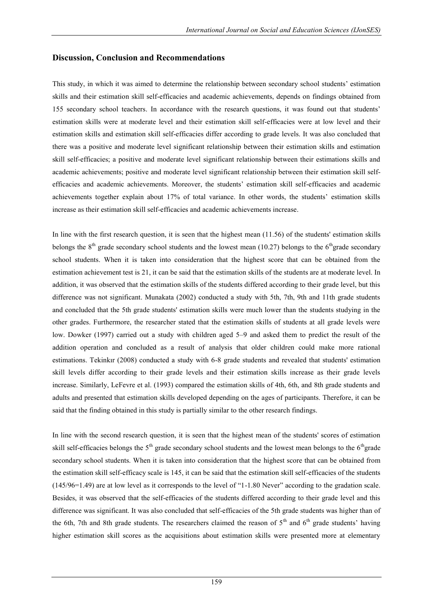## **Discussion, Conclusion and Recommendations**

This study, in which it was aimed to determine the relationship between secondary school students" estimation skills and their estimation skill self-efficacies and academic achievements, depends on findings obtained from 155 secondary school teachers. In accordance with the research questions, it was found out that students" estimation skills were at moderate level and their estimation skill self-efficacies were at low level and their estimation skills and estimation skill self-efficacies differ according to grade levels. It was also concluded that there was a positive and moderate level significant relationship between their estimation skills and estimation skill self-efficacies; a positive and moderate level significant relationship between their estimations skills and academic achievements; positive and moderate level significant relationship between their estimation skill selfefficacies and academic achievements. Moreover, the students" estimation skill self-efficacies and academic achievements together explain about 17% of total variance. In other words, the students" estimation skills increase as their estimation skill self-efficacies and academic achievements increase.

In line with the first research question, it is seen that the highest mean (11.56) of the students' estimation skills belongs the  $8<sup>th</sup>$  grade secondary school students and the lowest mean (10.27) belongs to the 6<sup>th</sup>grade secondary school students. When it is taken into consideration that the highest score that can be obtained from the estimation achievement test is 21, it can be said that the estimation skills of the students are at moderate level. In addition, it was observed that the estimation skills of the students differed according to their grade level, but this difference was not significant. Munakata (2002) conducted a study with 5th, 7th, 9th and 11th grade students and concluded that the 5th grade students' estimation skills were much lower than the students studying in the other grades. Furthermore, the researcher stated that the estimation skills of students at all grade levels were low. Dowker (1997) carried out a study with children aged 5–9 and asked them to predict the result of the addition operation and concluded as a result of analysis that older children could make more rational estimations. Tekinkır (2008) conducted a study with 6-8 grade students and revealed that students' estimation skill levels differ according to their grade levels and their estimation skills increase as their grade levels increase. Similarly, LeFevre et al. (1993) compared the estimation skills of 4th, 6th, and 8th grade students and adults and presented that estimation skills developed depending on the ages of participants. Therefore, it can be said that the finding obtained in this study is partially similar to the other research findings.

In line with the second research question, it is seen that the highest mean of the students' scores of estimation skill self-efficacies belongs the  $5<sup>th</sup>$  grade secondary school students and the lowest mean belongs to the  $6<sup>th</sup>$ grade secondary school students. When it is taken into consideration that the highest score that can be obtained from the estimation skill self-efficacy scale is 145, it can be said that the estimation skill self-efficacies of the students (145/96=1.49) are at low level as it corresponds to the level of "1-1.80 Never" according to the gradation scale. Besides, it was observed that the self-efficacies of the students differed according to their grade level and this difference was significant. It was also concluded that self-efficacies of the 5th grade students was higher than of the 6th, 7th and 8th grade students. The researchers claimed the reason of  $5<sup>th</sup>$  and  $6<sup>th</sup>$  grade students' having higher estimation skill scores as the acquisitions about estimation skills were presented more at elementary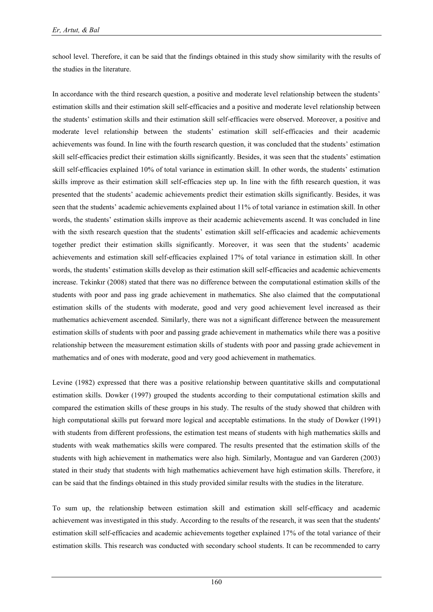school level. Therefore, it can be said that the findings obtained in this study show similarity with the results of the studies in the literature.

In accordance with the third research question, a positive and moderate level relationship between the students" estimation skills and their estimation skill self-efficacies and a positive and moderate level relationship between the students" estimation skills and their estimation skill self-efficacies were observed. Moreover, a positive and moderate level relationship between the students" estimation skill self-efficacies and their academic achievements was found. In line with the fourth research question, it was concluded that the students" estimation skill self-efficacies predict their estimation skills significantly. Besides, it was seen that the students" estimation skill self-efficacies explained 10% of total variance in estimation skill. In other words, the students" estimation skills improve as their estimation skill self-efficacies step up. In line with the fifth research question, it was presented that the students" academic achievements predict their estimation skills significantly. Besides, it was seen that the students" academic achievements explained about 11% of total variance in estimation skill. In other words, the students" estimation skills improve as their academic achievements ascend. It was concluded in line with the sixth research question that the students' estimation skill self-efficacies and academic achievements together predict their estimation skills significantly. Moreover, it was seen that the students" academic achievements and estimation skill self-efficacies explained 17% of total variance in estimation skill. In other words, the students" estimation skills develop as their estimation skill self-efficacies and academic achievements increase. Tekinkır (2008) stated that there was no difference between the computational estimation skills of the students with poor and pass ing grade achievement in mathematics. She also claimed that the computational estimation skills of the students with moderate, good and very good achievement level increased as their mathematics achievement ascended. Similarly, there was not a significant difference between the measurement estimation skills of students with poor and passing grade achievement in mathematics while there was a positive relationship between the measurement estimation skills of students with poor and passing grade achievement in mathematics and of ones with moderate, good and very good achievement in mathematics.

Levine (1982) expressed that there was a positive relationship between quantitative skills and computational estimation skills. Dowker (1997) grouped the students according to their computational estimation skills and compared the estimation skills of these groups in his study. The results of the study showed that children with high computational skills put forward more logical and acceptable estimations. In the study of Dowker (1991) with students from different professions, the estimation test means of students with high mathematics skills and students with weak mathematics skills were compared. The results presented that the estimation skills of the students with high achievement in mathematics were also high. Similarly, Montague and van Garderen (2003) stated in their study that students with high mathematics achievement have high estimation skills. Therefore, it can be said that the findings obtained in this study provided similar results with the studies in the literature.

To sum up, the relationship between estimation skill and estimation skill self-efficacy and academic achievement was investigated in this study. According to the results of the research, it was seen that the students' estimation skill self-efficacies and academic achievements together explained 17% of the total variance of their estimation skills. This research was conducted with secondary school students. It can be recommended to carry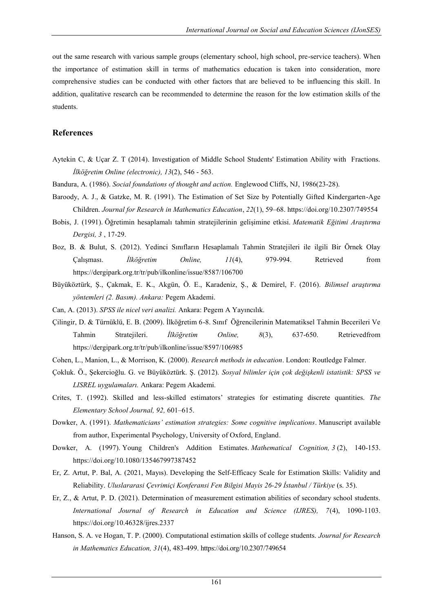out the same research with various sample groups (elementary school, high school, pre-service teachers). When the importance of estimation skill in terms of mathematics education is taken into consideration, more comprehensive studies can be conducted with other factors that are believed to be influencing this skill. In addition, qualitative research can be recommended to determine the reason for the low estimation skills of the students.

## **References**

- Aytekin C, & Uçar Z. T (2014). Investigation of Middle School Students' Estimation Ability with Fractions. *İlköğretim Online (electronic), 13*(2), 546 - 563.
- Bandura, A. (1986). *Social foundations of thought and action.* Englewood Cliffs, NJ, 1986(23-28).
- Baroody, A. J., & Gatzke, M. R. (1991). The Estimation of Set Size by Potentially Gifted Kindergarten-Age Children. *Journal for Research in Mathematics Education*, *22*(1), 59–68.<https://doi.org/10.2307/749554>
- Bobis, J. (1991). Öğretimin hesaplamalı tahmin stratejilerinin gelişimine etkisi. *Matematik Eğitimi Araştırma Dergisi, 3* , 17-29.
- Boz, B. & Bulut, S. (2012). Yedinci Sınıfların Hesaplamalı Tahmin Stratejileri ile ilgili Bir Örnek Olay Çalışması. *İlköğretim Online, 11*(4), 979-994. Retrieved from https://dergipark.org.tr/tr/pub/ilkonline/issue/8587/106700
- Büyüköztürk, Ş., Çakmak, E. K., Akgün, Ö. E., Karadeniz, Ş., & Demirel, F. (2016). *Bilimsel araştırma yöntemleri (2. Basım). Ankara:* Pegem Akademi.
- Can, A. (2013). *SPSS ile nicel veri analizi.* Ankara: Pegem A Yayıncılık.
- Çilingir, D. & Türnüklü, E. B. (2009). İlköğretim 6-8. Sınıf Öğrencilerinin Matematiksel Tahmin Becerileri Ve Tahmin Stratejileri. *İlköğretim Online, 8*(3), 637-650. Retrievedfrom <https://dergipark.org.tr/tr/pub/ilkonline/issue/8597/106985>
- Cohen, L., Manion, L., & Morrison, K. (2000). *Research methods in education*. London: Routledge Falmer.
- Çokluk. Ö., Şekercioğlu. G. ve Büyüköztürk. Ş. (2012). *Sosyal bilimler için çok değişkenli istatistik: SPSS ve LISREL uygulamaları.* Ankara: Pegem Akademi.
- Crites, T. (1992). Skilled and less-skilled estimators" strategies for estimating discrete quantities. *The Elementary School Journal, 92,* 601–615.
- Dowker, A. (1991). *Mathematicians' estimation strategies: Some cognitive implications*. Manuscript available from author, Experimental Psychology, University of Oxford, England.
- Dowker, A. (1997). Young Children's Addition Estimates. *Mathematical Cognition, 3* (2), 140-153. <https://doi.org/10.1080/135467997387452>
- Er, Z. Artut, P. Bal, A. (2021, Mayıs). Developing the Self-Efficacy Scale for Estimation Skills: Validity and Reliability. *Uluslararasi Çevrimiçi Konferansi Fen Bilgisi Mayis 26-29 İstanbul / Türkiye* (s. 35).
- Er, Z., & Artut, P. D. (2021). Determination of measurement estimation abilities of secondary school students. *International Journal of Research in Education and Science (IJRES), 7*(4), 1090-1103. <https://doi.org/10.46328/ijres.2337>
- Hanson, S. A. ve Hogan, T. P. (2000). Computational estimation skills of college students. *Journal for Research in Mathematics Education, 31*(4), 483-499.<https://doi.org/10.2307/749654>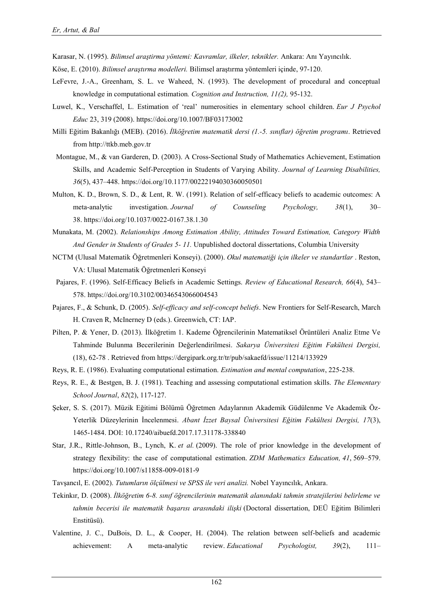Karasar, N. (1995). *Bilimsel araştirma yöntemi: Kavramlar, ilkeler, teknikler.* Ankara: Anı Yayıncılık.

- Köse, E. (2010). *Bilimsel araştırma modelleri.* Bilimsel araştırma yöntemleri içinde, 97-120.
- LeFevre, J.-A., Greenham, S. L. ve Waheed, N. (1993). The development of procedural and conceptual knowledge in computational estimation*. Cognition and Instruction, 11(2),* 95-132.
- Luwel, K., Verschaffel, L. Estimation of "real" numerosities in elementary school children. *Eur J Psychol Educ* 23, 319 (2008)[. https://doi.org/10.1007/BF03173002](https://doi.org/10.1007/BF03173002)
- Milli Eğitim Bakanlığı (MEB). (2016). *İlköğretim matematik dersi (1.-5. sınıflar) öğretim programı*. Retrieved from [http://ttkb.meb.gov.tr](http://ttkb.meb.gov.tr/)
- Montague, M., & van Garderen, D. (2003). A Cross-Sectional Study of Mathematics Achievement, Estimation Skills, and Academic Self-Perception in Students of Varying Ability. *Journal of Learning Disabilities, 36*(5), 437–448.<https://doi.org/10.1177/00222194030360050501>
- Multon, K. D., Brown, S. D., & Lent, R. W. (1991). Relation of self-efficacy beliefs to academic outcomes: A meta-analytic investigation. *Journal of Counseling Psychology, 38*(1), 30– 38. [https://doi.org/10.1037/0022-0167.38.1.30](https://psycnet.apa.org/doi/10.1037/0022-0167.38.1.30)
- Munakata, M. (2002). *Relationships Among Estimation Ability, Attitudes Toward Estimation, Category Width And Gender in Students of Grades 5- 11.* Unpublished doctoral dissertations, Columbia University
- [NCTM \(](https://www.sciencedirect.com/science/article/pii/S0885200604000134?casa_token=v0VBIHr17awAAAAA:Ejp4DU_GH9EtpkQpJ-LC4wwEPYKuDFpLR0ptq0x2h2WQUbSXOqbZ13S_ibLUnvCPQVSdnbRB5g#bBIB16)Ulusal Matematik Öğretmenleri Konseyi). (2000). *Okul matematiği için ilkeler ve standartlar* . Reston, VA: Ulusal Matematik Öğretmenleri Konseyi
- Pajares, F. (1996). Self-Efficacy Beliefs in Academic Settings. *Review of Educational Research, 66*(4), 543– 578.<https://doi.org/10.3102/00346543066004543>
- Pajares, F., & Schunk, D. (2005). *Self-efficacy and self-concept beliefs*. New Frontiers for Self-Research, March H. Craven R, McInerney D (eds.). Greenwich, CT: IAP.
- Pilten, P. & Yener, D. (2013). İlköğretim 1. Kademe Öğrencilerinin Matematiksel Örüntüleri Analiz Etme Ve Tahminde Bulunma Becerilerinin Değerlendirilmesi. *Sakarya Üniversitesi Eğitim Fakültesi Dergisi,* (18), 62-78 . Retrieved from<https://dergipark.org.tr/tr/pub/sakaefd/issue/11214/133929>
- Reys, R. E. (1986). Evaluating computational estimation. *Estimation and mental computation*, 225-238.
- Reys, R. E., & Bestgen, B. J. (1981). Teaching and assessing computational estimation skills. *The Elementary School Journal*, *82*(2), 117-127.
- Şeker, S. S. (2017). Müzik Eğitimi Bölümü Öğretmen Adaylarının Akademik Güdülenme Ve Akademik Öz-Yeterlik Düzeylerinin İncelenmesi. *Abant İzzet Baysal Üniversitesi Eğitim Fakültesi Dergisi, 17*(3), 1465-1484. DOI: 10.17240/aibuefd.2017.17.31178-338840
- Star, J.R., Rittle-Johnson, B., Lynch, K. *et al.* (2009). The role of prior knowledge in the development of strategy flexibility: the case of computational estimation. *ZDM Mathematics Education, 41*, 569–579. <https://doi.org/10.1007/s11858-009-0181-9>
- Tavşancıl, E. (2002). *Tutumların ölçülmesi ve SPSS ile veri analizi.* Nobel Yayıncılık, Ankara.
- Tekinkır, D. (2008). *İlköğretim 6-8. sınıf öğrencilerinin matematik alanındaki tahmin stratejilerini belirleme ve tahmin becerisi ile matematik başarısı arasındaki ilişki* (Doctoral dissertation, DEÜ Eğitim Bilimleri Enstitüsü).
- Valentine, J. C., DuBois, D. L., & Cooper, H. (2004). The relation between self-beliefs and academic achievement: A meta-analytic review. *Educational Psychologist, 39*(2), 111–